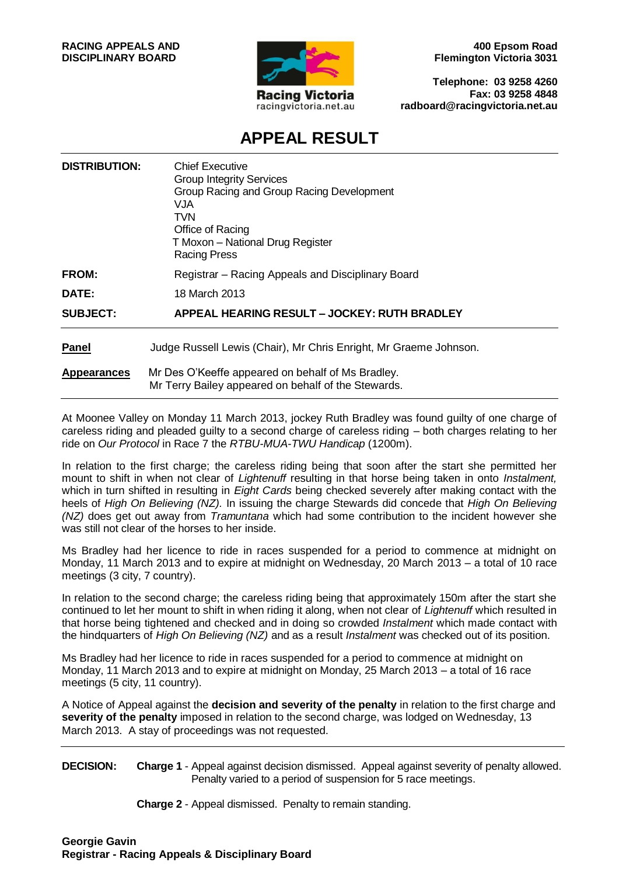

**400 Epsom Road Flemington Victoria 3031**

**Telephone: 03 9258 4260 Fax: 03 9258 4848 radboard@racingvictoria.net.au**

## **APPEAL RESULT**

| <b>DISTRIBUTION:</b> | Chief Executive<br><b>Group Integrity Services</b><br>Group Racing and Group Racing Development<br>VJA.<br>TVN<br>Office of Racing<br>T Moxon - National Drug Register<br><b>Racing Press</b> |
|----------------------|-----------------------------------------------------------------------------------------------------------------------------------------------------------------------------------------------|
| <b>FROM:</b>         | Registrar - Racing Appeals and Disciplinary Board                                                                                                                                             |
| DATE:                | 18 March 2013                                                                                                                                                                                 |
| <b>SUBJECT:</b>      | APPEAL HEARING RESULT - JOCKEY: RUTH BRADLEY                                                                                                                                                  |
| <b>Panel</b>         | Judge Russell Lewis (Chair), Mr Chris Enright, Mr Graeme Johnson.                                                                                                                             |
| <b>Appearances</b>   | Mr Des O'Keeffe appeared on behalf of Ms Bradley.<br>Mr Terry Bailey appeared on behalf of the Stewards.                                                                                      |

At Moonee Valley on Monday 11 March 2013, jockey Ruth Bradley was found guilty of one charge of careless riding and pleaded guilty to a second charge of careless riding – both charges relating to her ride on *Our Protocol* in Race 7 the *RTBU-MUA-TWU Handicap* (1200m).

In relation to the first charge; the careless riding being that soon after the start she permitted her mount to shift in when not clear of *Lightenuff* resulting in that horse being taken in onto *Instalment,* which in turn shifted in resulting in *Eight Cards* being checked severely after making contact with the heels of *High On Believing (NZ).* In issuing the charge Stewards did concede that *High On Believing (NZ)* does get out away from *Tramuntana* which had some contribution to the incident however she was still not clear of the horses to her inside.

Ms Bradley had her licence to ride in races suspended for a period to commence at midnight on Monday, 11 March 2013 and to expire at midnight on Wednesday, 20 March 2013 – a total of 10 race meetings (3 city, 7 country).

In relation to the second charge; the careless riding being that approximately 150m after the start she continued to let her mount to shift in when riding it along, when not clear of *Lightenuff* which resulted in that horse being tightened and checked and in doing so crowded *Instalment* which made contact with the hindquarters of *High On Believing (NZ)* and as a result *Instalment* was checked out of its position.

Ms Bradley had her licence to ride in races suspended for a period to commence at midnight on Monday, 11 March 2013 and to expire at midnight on Monday, 25 March 2013 – a total of 16 race meetings (5 city, 11 country).

A Notice of Appeal against the **decision and severity of the penalty** in relation to the first charge and severity of the penalty imposed in relation to the second charge, was lodged on Wednesday, 13 March 2013. A stay of proceedings was not requested.

**DECISION: Charge 1** - Appeal against decision dismissed. Appeal against severity of penalty allowed. Penalty varied to a period of suspension for 5 race meetings.

**Charge 2** - Appeal dismissed. Penalty to remain standing.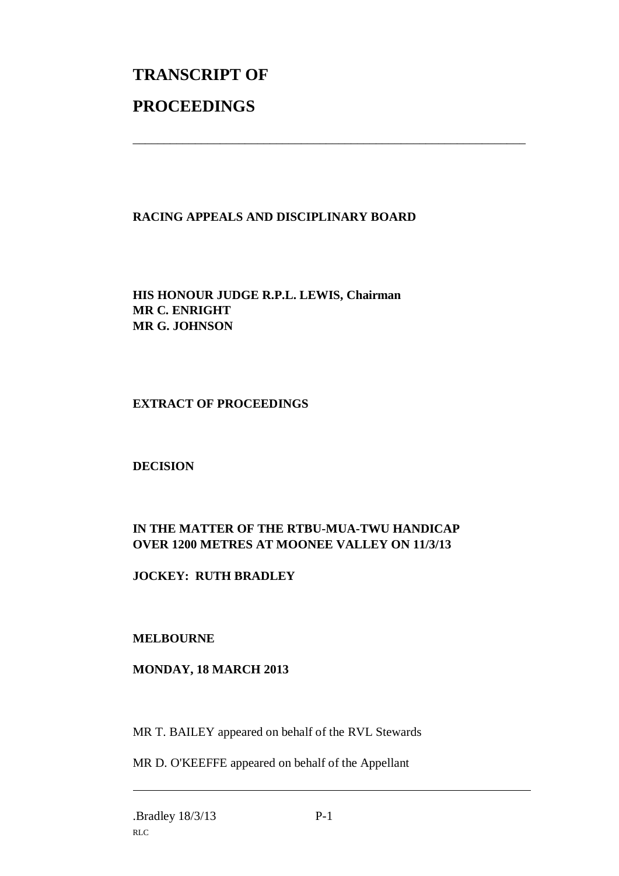# **TRANSCRIPT OF PROCEEDINGS**

## **RACING APPEALS AND DISCIPLINARY BOARD**

\_\_\_\_\_\_\_\_\_\_\_\_\_\_\_\_\_\_\_\_\_\_\_\_\_\_\_\_\_\_\_\_\_\_\_\_\_\_\_\_\_\_\_\_\_\_\_\_\_\_\_\_\_\_\_\_\_\_\_\_\_\_\_

**HIS HONOUR JUDGE R.P.L. LEWIS, Chairman MR C. ENRIGHT MR G. JOHNSON**

#### **EXTRACT OF PROCEEDINGS**

**DECISION**

## **IN THE MATTER OF THE RTBU-MUA-TWU HANDICAP OVER 1200 METRES AT MOONEE VALLEY ON 11/3/13**

**JOCKEY: RUTH BRADLEY**

## **MELBOURNE**

## **MONDAY, 18 MARCH 2013**

MR T. BAILEY appeared on behalf of the RVL Stewards

MR D. O'KEEFFE appeared on behalf of the Appellant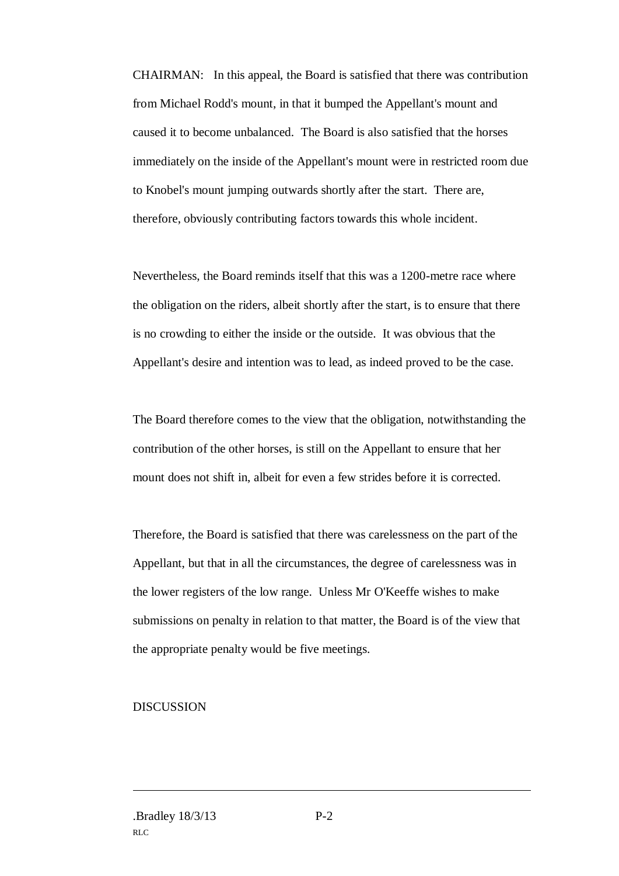CHAIRMAN: In this appeal, the Board is satisfied that there was contribution from Michael Rodd's mount, in that it bumped the Appellant's mount and caused it to become unbalanced. The Board is also satisfied that the horses immediately on the inside of the Appellant's mount were in restricted room due to Knobel's mount jumping outwards shortly after the start. There are, therefore, obviously contributing factors towards this whole incident.

Nevertheless, the Board reminds itself that this was a 1200-metre race where the obligation on the riders, albeit shortly after the start, is to ensure that there is no crowding to either the inside or the outside. It was obvious that the Appellant's desire and intention was to lead, as indeed proved to be the case.

The Board therefore comes to the view that the obligation, notwithstanding the contribution of the other horses, is still on the Appellant to ensure that her mount does not shift in, albeit for even a few strides before it is corrected.

Therefore, the Board is satisfied that there was carelessness on the part of the Appellant, but that in all the circumstances, the degree of carelessness was in the lower registers of the low range. Unless Mr O'Keeffe wishes to make submissions on penalty in relation to that matter, the Board is of the view that the appropriate penalty would be five meetings.

#### **DISCUSSION**